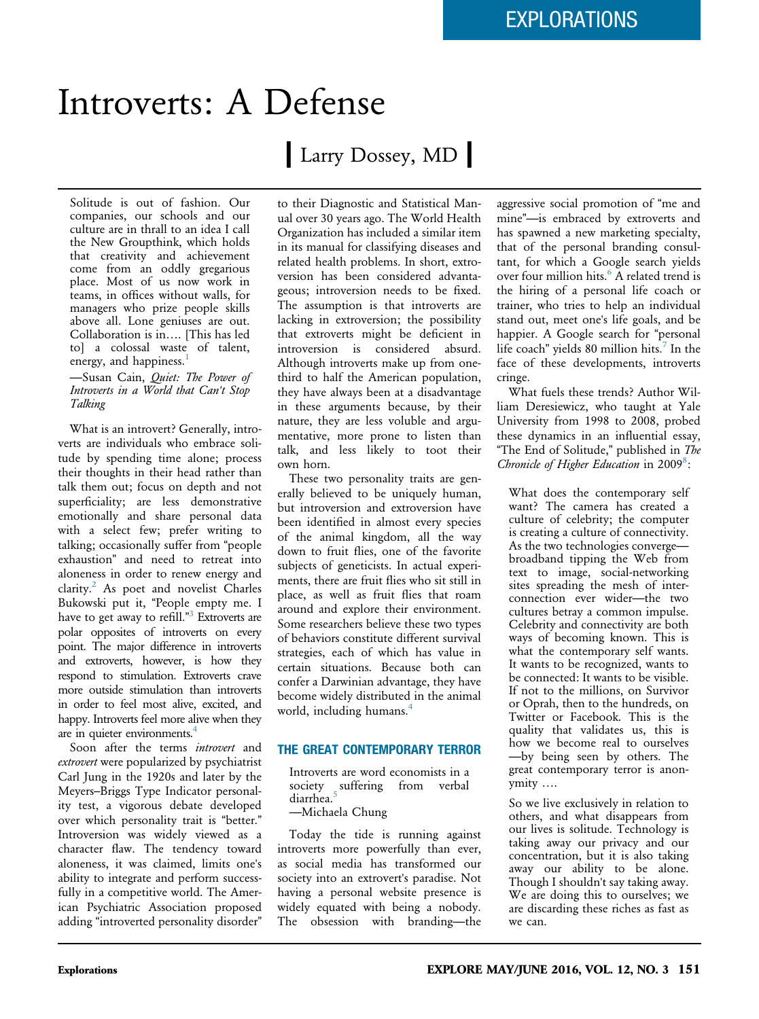# Introverts: A Defense

# | Larry Dossey, MD |

Solitude is out of fashion. Our companies, our schools and our culture are in thrall to an idea I call the New Groupthink, which holds that creativity and achievement come from an oddly gregarious place. Most of us now work in teams, in offices without walls, for managers who prize people skills above all. Lone geniuses are out. Collaboration is in…. [This has led to] a colossal waste of talent, energy, and happiness.<sup>[1](#page-7-0)</sup>

—Susan Cain, Quiet: The Power of Introverts in a World that Can't Stop Talking

What is an introvert? Generally, introverts are individuals who embrace solitude by spending time alone; process their thoughts in their head rather than talk them out; focus on depth and not superficiality; are less demonstrative emotionally and share personal data with a select few; prefer writing to talking; occasionally suffer from "people exhaustion" and need to retreat into aloneness in order to renew energy and clarity.[2](#page-7-0) As poet and novelist Charles Bukowski put it, "People empty me. I have to get away to refill."<sup>[3](#page-7-0)</sup> Extroverts are polar opposites of introverts on every point. The major difference in introverts and extroverts, however, is how they respond to stimulation. Extroverts crave more outside stimulation than introverts in order to feel most alive, excited, and happy. Introverts feel more alive when they are in quieter environments.<sup>4</sup>

Soon after the terms introvert and extrovert were popularized by psychiatrist Carl Jung in the 1920s and later by the Meyers–Briggs Type Indicator personality test, a vigorous debate developed over which personality trait is "better." Introversion was widely viewed as a character flaw. The tendency toward aloneness, it was claimed, limits one's ability to integrate and perform successfully in a competitive world. The American Psychiatric Association proposed adding "introverted personality disorder" to their Diagnostic and Statistical Manual over 30 years ago. The World Health Organization has included a similar item in its manual for classifying diseases and related health problems. In short, extroversion has been considered advantageous; introversion needs to be fixed. The assumption is that introverts are lacking in extroversion; the possibility that extroverts might be deficient in introversion is considered absurd. Although introverts make up from onethird to half the American population, they have always been at a disadvantage in these arguments because, by their nature, they are less voluble and argumentative, more prone to listen than talk, and less likely to toot their own horn.

These two personality traits are generally believed to be uniquely human, but introversion and extroversion have been identified in almost every species of the animal kingdom, all the way down to fruit flies, one of the favorite subjects of geneticists. In actual experiments, there are fruit flies who sit still in place, as well as fruit flies that roam around and explore their environment. Some researchers believe these two types of behaviors constitute different survival strategies, each of which has value in certain situations. Because both can confer a Darwinian advantage, they have become widely distributed in the animal world, including humans.<sup>4</sup>

# THE GREAT CONTEMPORARY TERROR

Introverts are word economists in a society suffering from verbal diarrhea.[5](#page-7-0)

—Michaela Chung

Today the tide is running against introverts more powerfully than ever, as social media has transformed our society into an extrovert's paradise. Not having a personal website presence is widely equated with being a nobody. The obsession with branding—the

aggressive social promotion of "me and mine"—is embraced by extroverts and has spawned a new marketing specialty, that of the personal branding consultant, for which a Google search yields over four million hits.<sup>6</sup> A related trend is the hiring of a personal life coach or trainer, who tries to help an individual stand out, meet one's life goals, and be happier. A Google search for "personal life coach" yields 80 million hits.<sup>[7](#page-7-0)</sup> In the face of these developments, introverts cringe.

What fuels these trends? Author William Deresiewicz, who taught at Yale University from 1998 to 2008, probed these dynamics in an influential essay, "The End of Solitude," published in The Chronicle of Higher Education in  $2009^8$ :

What does the contemporary self want? The camera has created a culture of celebrity; the computer is creating a culture of connectivity. As the two technologies converge broadband tipping the Web from text to image, social-networking sites spreading the mesh of interconnection ever wider—the two cultures betray a common impulse. Celebrity and connectivity are both ways of becoming known. This is what the contemporary self wants. It wants to be recognized, wants to be connected: It wants to be visible. If not to the millions, on Survivor or Oprah, then to the hundreds, on Twitter or Facebook. This is the quality that validates us, this is how we become real to ourselves —by being seen by others. The great contemporary terror is anonymity ….

So we live exclusively in relation to others, and what disappears from our lives is solitude. Technology is taking away our privacy and our concentration, but it is also taking away our ability to be alone. Though I shouldn't say taking away. We are doing this to ourselves; we are discarding these riches as fast as we can.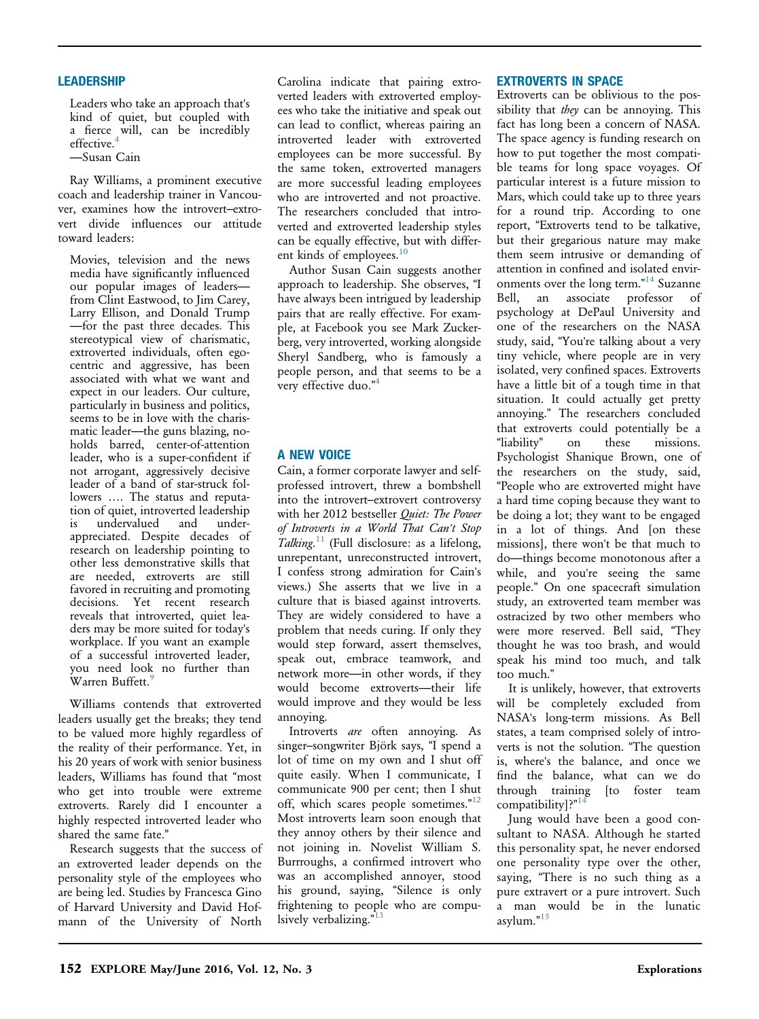#### LEADERSHIP

Leaders who take an approach that's kind of quiet, but coupled with a fierce will, can be incredibly effective.<sup>[4](#page-7-0)</sup>

—Susan Cain

Ray Williams, a prominent executive coach and leadership trainer in Vancouver, examines how the introvert–extrovert divide influences our attitude toward leaders:

Movies, television and the news media have significantly influenced our popular images of leaders from Clint Eastwood, to Jim Carey, Larry Ellison, and Donald Trump —for the past three decades. This stereotypical view of charismatic, extroverted individuals, often egocentric and aggressive, has been associated with what we want and expect in our leaders. Our culture, particularly in business and politics, seems to be in love with the charismatic leader—the guns blazing, noholds barred, center-of-attention leader, who is a super-confident if not arrogant, aggressively decisive leader of a band of star-struck followers …. The status and reputation of quiet, introverted leadership<br>is undervalued and underis undervalued and underappreciated. Despite decades of research on leadership pointing to other less demonstrative skills that are needed, extroverts are still favored in recruiting and promoting decisions. Yet recent research reveals that introverted, quiet leaders may be more suited for today's workplace. If you want an example of a successful introverted leader, you need look no further than .<br>Warren Buffett.

Williams contends that extroverted leaders usually get the breaks; they tend to be valued more highly regardless of the reality of their performance. Yet, in his 20 years of work with senior business leaders, Williams has found that "most who get into trouble were extreme extroverts. Rarely did I encounter a highly respected introverted leader who shared the same fate."

Research suggests that the success of an extroverted leader depends on the personality style of the employees who are being led. Studies by Francesca Gino of Harvard University and David Hofmann of the University of North

Carolina indicate that pairing extroverted leaders with extroverted employees who take the initiative and speak out can lead to conflict, whereas pairing an introverted leader with extroverted employees can be more successful. By the same token, extroverted managers are more successful leading employees who are introverted and not proactive. The researchers concluded that introverted and extroverted leadership styles can be equally effective, but with differ-ent kinds of employees.<sup>[10](#page-7-0)</sup>

Author Susan Cain suggests another approach to leadership. She observes, "I have always been intrigued by leadership pairs that are really effective. For example, at Facebook you see Mark Zuckerberg, very introverted, working alongside Sheryl Sandberg, who is famously a people person, and that seems to be a very effective duo." [4](#page-7-0)

# A NEW VOICE

Cain, a former corporate lawyer and selfprofessed introvert, threw a bombshell into the introvert–extrovert controversy with her 2012 bestseller Quiet: The Power of Introverts in a World That Can't Stop Talking.<sup>[11](#page-7-0)</sup> (Full disclosure: as a lifelong, unrepentant, unreconstructed introvert, I confess strong admiration for Cain's views.) She asserts that we live in a culture that is biased against introverts. They are widely considered to have a problem that needs curing. If only they would step forward, assert themselves, speak out, embrace teamwork, and network more—in other words, if they would become extroverts—their life would improve and they would be less annoying.

Introverts are often annoying. As singer–songwriter Björk says, "I spend a lot of time on my own and I shut off quite easily. When I communicate, I communicate 900 per cent; then I shut off, which scares people sometimes."<sup>[12](#page-7-0)</sup> Most introverts learn soon enough that they annoy others by their silence and not joining in. Novelist William S. Burrroughs, a confirmed introvert who was an accomplished annoyer, stood his ground, saying, "Silence is only frightening to people who are compulsively verbalizing." [13](#page-7-0)

#### EXTROVERTS IN SPACE

Extroverts can be oblivious to the possibility that *they* can be annoying. This fact has long been a concern of NASA. The space agency is funding research on how to put together the most compatible teams for long space voyages. Of particular interest is a future mission to Mars, which could take up to three years for a round trip. According to one report, "Extroverts tend to be talkative, but their gregarious nature may make them seem intrusive or demanding of attention in confined and isolated envir-onments over the long term."<sup>[14](#page-7-0)</sup> Suzanne Bell, an associate professor of psychology at DePaul University and one of the researchers on the NASA study, said, "You're talking about a very tiny vehicle, where people are in very isolated, very confined spaces. Extroverts have a little bit of a tough time in that situation. It could actually get pretty annoying." The researchers concluded that extroverts could potentially be a "liability" on these missions. Psychologist Shanique Brown, one of the researchers on the study, said, "People who are extroverted might have a hard time coping because they want to be doing a lot; they want to be engaged in a lot of things. And [on these missions], there won't be that much to do—things become monotonous after a while, and you're seeing the same people." On one spacecraft simulation study, an extroverted team member was ostracized by two other members who were more reserved. Bell said, "They thought he was too brash, and would speak his mind too much, and talk too much."

It is unlikely, however, that extroverts will be completely excluded from NASA's long-term missions. As Bell states, a team comprised solely of introverts is not the solution. "The question is, where's the balance, and once we find the balance, what can we do through training [to foster team compatibility]?"<sup>[14](#page-7-0)</sup>

Jung would have been a good consultant to NASA. Although he started this personality spat, he never endorsed one personality type over the other, saying, "There is no such thing as a pure extravert or a pure introvert. Such a man would be in the lunatic asylum." [15](#page-7-0)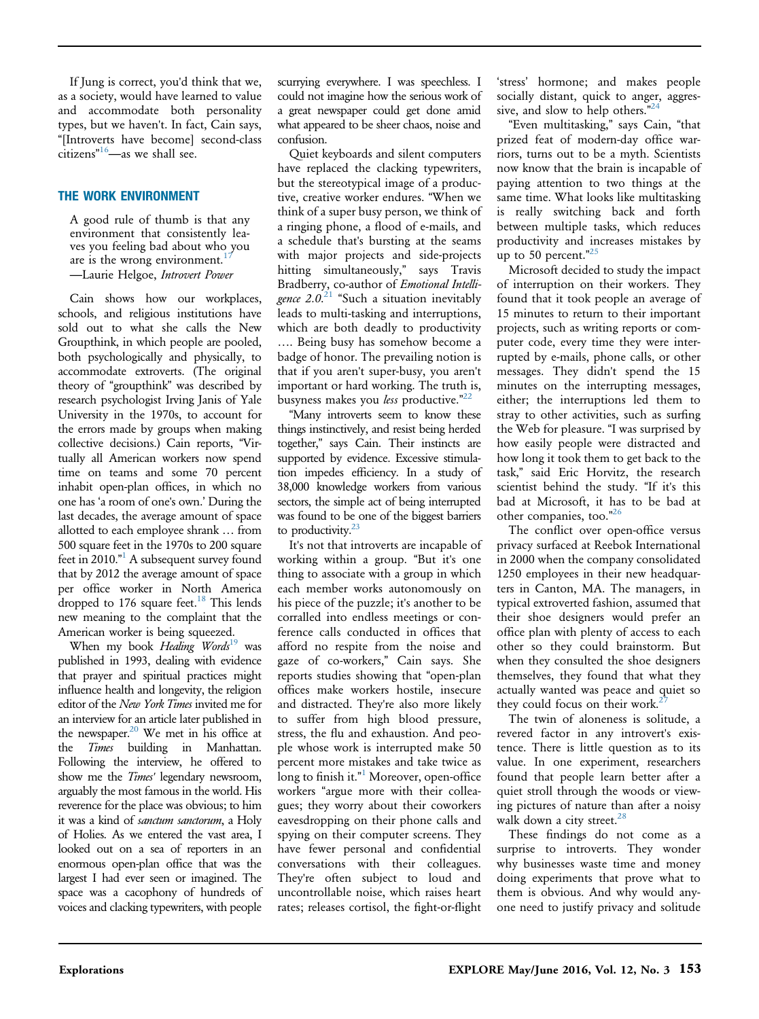If Jung is correct, you'd think that we, as a society, would have learned to value and accommodate both personality types, but we haven't. In fact, Cain says, "[Introverts have become] second-class citizens" [16](#page-7-0)—as we shall see.

# THE WORK ENVIRONMENT

A good rule of thumb is that any environment that consistently leaves you feeling bad about who you are is the wrong environment.<sup>1</sup> —Laurie Helgoe, Introvert Power

Cain shows how our workplaces, schools, and religious institutions have sold out to what she calls the New Groupthink, in which people are pooled, both psychologically and physically, to accommodate extroverts. (The original theory of "groupthink" was described by research psychologist Irving Janis of Yale University in the 1970s, to account for the errors made by groups when making collective decisions.) Cain reports, "Virtually all American workers now spend time on teams and some 70 percent inhabit open-plan offices, in which no one has 'a room of one's own.' During the last decades, the average amount of space allotted to each employee shrank … from 500 square feet in the 1970s to 200 square feet in 20[1](#page-7-0)0."<sup>1</sup> A subsequent survey found that by 2012 the average amount of space per office worker in North America dropped to 176 square feet.<sup>18</sup> This lends new meaning to the complaint that the American worker is being squeezed.

When my book *Healing Words*<sup>[19](#page-7-0)</sup> was published in 1993, dealing with evidence that prayer and spiritual practices might influence health and longevity, the religion editor of the New York Times invited me for an interview for an article later published in the newspaper[.20](#page-7-0) We met in his office at the Times building in Manhattan. Following the interview, he offered to show me the Times' legendary newsroom, arguably the most famous in the world. His reverence for the place was obvious; to him it was a kind of sanctum sanctorum, a Holy of Holies. As we entered the vast area, I looked out on a sea of reporters in an enormous open-plan office that was the largest I had ever seen or imagined. The space was a cacophony of hundreds of voices and clacking typewriters, with people scurrying everywhere. I was speechless. I could not imagine how the serious work of a great newspaper could get done amid what appeared to be sheer chaos, noise and confusion.

Quiet keyboards and silent computers have replaced the clacking typewriters, but the stereotypical image of a productive, creative worker endures. "When we think of a super busy person, we think of a ringing phone, a flood of e-mails, and a schedule that's bursting at the seams with major projects and side-projects hitting simultaneously," says Travis Bradberry, co-author of Emotional Intelli-gence 2.0.<sup>[21](#page-8-0)</sup> "Such a situation inevitably leads to multi-tasking and interruptions, which are both deadly to productivity …. Being busy has somehow become a badge of honor. The prevailing notion is that if you aren't super-busy, you aren't important or hard working. The truth is, busyness makes you less productive."<sup>[22](#page-8-0)</sup>

"Many introverts seem to know these things instinctively, and resist being herded together," says Cain. Their instincts are supported by evidence. Excessive stimulation impedes efficiency. In a study of 38,000 knowledge workers from various sectors, the simple act of being interrupted was found to be one of the biggest barriers to productivity.<sup>23</sup>

It's not that introverts are incapable of working within a group. "But it's one thing to associate with a group in which each member works autonomously on his piece of the puzzle; it's another to be corralled into endless meetings or conference calls conducted in offices that afford no respite from the noise and gaze of co-workers," Cain says. She reports studies showing that "open-plan offices make workers hostile, insecure and distracted. They're also more likely to suffer from high blood pressure, stress, the flu and exhaustion. And people whose work is interrupted make 50 percent more mistakes and take twice as long to finish it." [1](#page-7-0) Moreover, open-office workers "argue more with their colleagues; they worry about their coworkers eavesdropping on their phone calls and spying on their computer screens. They have fewer personal and confidential conversations with their colleagues. They're often subject to loud and uncontrollable noise, which raises heart rates; releases cortisol, the fight-or-flight

'stress' hormone; and makes people socially distant, quick to anger, aggres-sive, and slow to help others."<sup>[24](#page-8-0)</sup>

"Even multitasking," says Cain, "that prized feat of modern-day office warriors, turns out to be a myth. Scientists now know that the brain is incapable of paying attention to two things at the same time. What looks like multitasking is really switching back and forth between multiple tasks, which reduces productivity and increases mistakes by up to 50 percent."<sup>[25](#page-8-0)</sup>

Microsoft decided to study the impact of interruption on their workers. They found that it took people an average of 15 minutes to return to their important projects, such as writing reports or computer code, every time they were interrupted by e-mails, phone calls, or other messages. They didn't spend the 15 minutes on the interrupting messages, either; the interruptions led them to stray to other activities, such as surfing the Web for pleasure. "I was surprised by how easily people were distracted and how long it took them to get back to the task," said Eric Horvitz, the research scientist behind the study. "If it's this bad at Microsoft, it has to be bad at other companies, too."[26](#page-8-0)

The conflict over open-office versus privacy surfaced at Reebok International in 2000 when the company consolidated 1250 employees in their new headquarters in Canton, MA. The managers, in typical extroverted fashion, assumed that their shoe designers would prefer an office plan with plenty of access to each other so they could brainstorm. But when they consulted the shoe designers themselves, they found that what they actually wanted was peace and quiet so they could focus on their work.<sup>2</sup>

The twin of aloneness is solitude, a revered factor in any introvert's existence. There is little question as to its value. In one experiment, researchers found that people learn better after a quiet stroll through the woods or viewing pictures of nature than after a noisy walk down a city street.<sup>[28](#page-8-0)</sup>

These findings do not come as a surprise to introverts. They wonder why businesses waste time and money doing experiments that prove what to them is obvious. And why would anyone need to justify privacy and solitude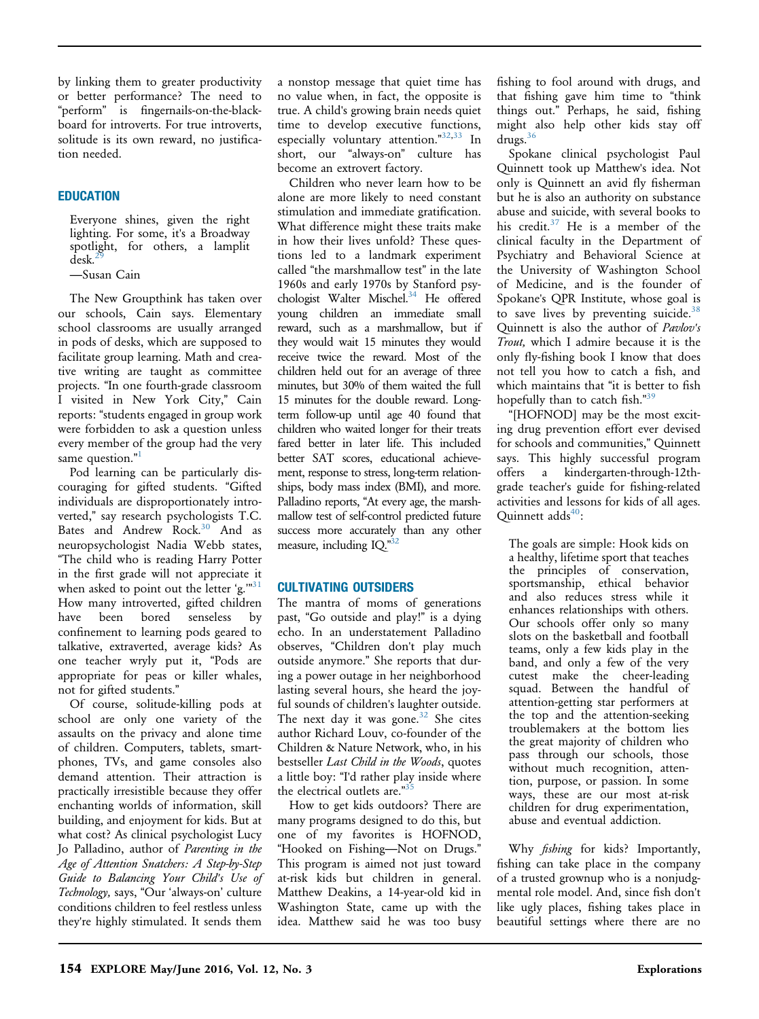by linking them to greater productivity or better performance? The need to "perform" is fingernails-on-the-blackboard for introverts. For true introverts, solitude is its own reward, no justification needed.

#### **EDUCATION**

Everyone shines, given the right lighting. For some, it's a Broadway spotlight, for others, a lamplit desk.<sup>2</sup>

—Susan Cain

The New Groupthink has taken over our schools, Cain says. Elementary school classrooms are usually arranged in pods of desks, which are supposed to facilitate group learning. Math and creative writing are taught as committee projects. "In one fourth-grade classroom I visited in New York City," Cain reports: "students engaged in group work were forbidden to ask a question unless every member of the group had the very same question."<sup>[1](#page-7-0)</sup>

Pod learning can be particularly discouraging for gifted students. "Gifted individuals are disproportionately introverted," say research psychologists T.C. Bates and Andrew Rock.<sup>[30](#page-8-0)</sup> And as neuropsychologist Nadia Webb states, "The child who is reading Harry Potter in the first grade will not appreciate it when asked to point out the letter 'g."<sup>[31](#page-8-0)</sup> How many introverted, gifted children have been bored senseless by confinement to learning pods geared to talkative, extraverted, average kids? As one teacher wryly put it, "Pods are appropriate for peas or killer whales, not for gifted students."

Of course, solitude-killing pods at school are only one variety of the assaults on the privacy and alone time of children. Computers, tablets, smartphones, TVs, and game consoles also demand attention. Their attraction is practically irresistible because they offer enchanting worlds of information, skill building, and enjoyment for kids. But at what cost? As clinical psychologist Lucy Jo Palladino, author of Parenting in the Age of Attention Snatchers: A Step-by-Step Guide to Balancing Your Child's Use of Technology, says, "Our 'always-on' culture conditions children to feel restless unless they're highly stimulated. It sends them

a nonstop message that quiet time has no value when, in fact, the opposite is true. A child's growing brain needs quiet time to develop executive functions, especially voluntary attention."[32,33](#page-8-0) In short, our "always-on" culture has become an extrovert factory.

Children who never learn how to be alone are more likely to need constant stimulation and immediate gratification. What difference might these traits make in how their lives unfold? These questions led to a landmark experiment called "the marshmallow test" in the late 1960s and early 1970s by Stanford psychologist Walter Mischel.<sup>34</sup> He offered young children an immediate small reward, such as a marshmallow, but if they would wait 15 minutes they would receive twice the reward. Most of the children held out for an average of three minutes, but 30% of them waited the full 15 minutes for the double reward. Longterm follow-up until age 40 found that children who waited longer for their treats fared better in later life. This included better SAT scores, educational achievement, response to stress, long-term relationships, body mass index (BMI), and more. Palladino reports, "At every age, the marshmallow test of self-control predicted future success more accurately than any other measure, including IQ."[32](#page-8-0)

#### CULTIVATING OUTSIDERS

The mantra of moms of generations past, "Go outside and play!" is a dying echo. In an understatement Palladino observes, "Children don't play much outside anymore." She reports that during a power outage in her neighborhood lasting several hours, she heard the joyful sounds of children's laughter outside. The next day it was gone. $32$  She cites author Richard Louv, co-founder of the Children & Nature Network, who, in his bestseller Last Child in the Woods, quotes a little boy: "I'd rather play inside where the electrical outlets are."[35](#page-8-0)

How to get kids outdoors? There are many programs designed to do this, but one of my favorites is HOFNOD, "Hooked on Fishing—Not on Drugs." This program is aimed not just toward at-risk kids but children in general. Matthew Deakins, a 14-year-old kid in Washington State, came up with the idea. Matthew said he was too busy fishing to fool around with drugs, and that fishing gave him time to "think things out." Perhaps, he said, fishing might also help other kids stay off drugs.[36](#page-8-0)

Spokane clinical psychologist Paul Quinnett took up Matthew's idea. Not only is Quinnett an avid fly fisherman but he is also an authority on substance abuse and suicide, with several books to his credit. $37$  He is a member of the clinical faculty in the Department of Psychiatry and Behavioral Science at the University of Washington School of Medicine, and is the founder of Spokane's QPR Institute, whose goal is to save lives by preventing suicide. $38$ Quinnett is also the author of Pavlov's Trout, which I admire because it is the only fly-fishing book I know that does not tell you how to catch a fish, and which maintains that "it is better to fish hopefully than to catch fish."<sup>[39](#page-8-0)</sup>

"[HOFNOD] may be the most exciting drug prevention effort ever devised for schools and communities," Quinnett says. This highly successful program offers a kindergarten-through-12thgrade teacher's guide for fishing-related activities and lessons for kids of all ages. Quinnett adds<sup>[40](#page-8-0)</sup>:

The goals are simple: Hook kids on a healthy, lifetime sport that teaches the principles of conservation, sportsmanship, ethical behavior and also reduces stress while it enhances relationships with others. Our schools offer only so many slots on the basketball and football teams, only a few kids play in the band, and only a few of the very cutest make the cheer-leading squad. Between the handful of attention-getting star performers at the top and the attention-seeking troublemakers at the bottom lies the great majority of children who pass through our schools, those without much recognition, attention, purpose, or passion. In some ways, these are our most at-risk children for drug experimentation, abuse and eventual addiction.

Why *fishing* for kids? Importantly, fishing can take place in the company of a trusted grownup who is a nonjudgmental role model. And, since fish don't like ugly places, fishing takes place in beautiful settings where there are no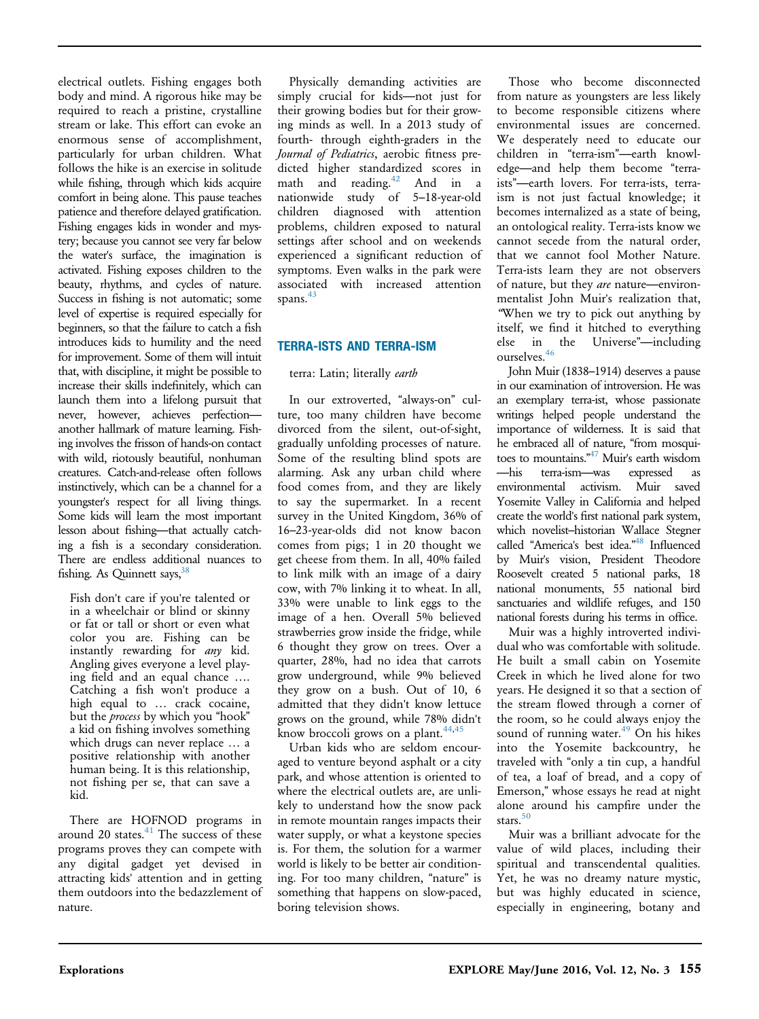electrical outlets. Fishing engages both body and mind. A rigorous hike may be required to reach a pristine, crystalline stream or lake. This effort can evoke an enormous sense of accomplishment, particularly for urban children. What follows the hike is an exercise in solitude while fishing, through which kids acquire comfort in being alone. This pause teaches patience and therefore delayed gratification. Fishing engages kids in wonder and mystery; because you cannot see very far below the water's surface, the imagination is activated. Fishing exposes children to the beauty, rhythms, and cycles of nature. Success in fishing is not automatic; some level of expertise is required especially for beginners, so that the failure to catch a fish introduces kids to humility and the need for improvement. Some of them will intuit that, with discipline, it might be possible to increase their skills indefinitely, which can launch them into a lifelong pursuit that never, however, achieves perfection another hallmark of mature learning. Fishing involves the frisson of hands-on contact with wild, riotously beautiful, nonhuman creatures. Catch-and-release often follows instinctively, which can be a channel for a youngster's respect for all living things. Some kids will learn the most important lesson about fishing—that actually catching a fish is a secondary consideration. There are endless additional nuances to fishing. As Quinnett says,  $38$ 

Fish don't care if you're talented or in a wheelchair or blind or skinny or fat or tall or short or even what color you are. Fishing can be instantly rewarding for any kid. Angling gives everyone a level playing field and an equal chance …. Catching a fish won't produce a high equal to ... crack cocaine, but the *process* by which you "hook" a kid on fishing involves something which drugs can never replace … a positive relationship with another human being. It is this relationship, not fishing per se, that can save a kid.

There are HOFNOD programs in around 20 states. $41$  The success of these programs proves they can compete with any digital gadget yet devised in attracting kids' attention and in getting them outdoors into the bedazzlement of nature.

Physically demanding activities are simply crucial for kids—not just for their growing bodies but for their growing minds as well. In a 2013 study of fourth- through eighth-graders in the Journal of Pediatrics, aerobic fitness predicted higher standardized scores in math and reading. $42$  And in a nationwide study of 5–18-year-old children diagnosed with attention problems, children exposed to natural settings after school and on weekends experienced a significant reduction of symptoms. Even walks in the park were associated with increased attention spans.<sup>[43](#page-8-0)</sup>

# TERRA-ISTS AND TERRA-ISM

#### terra: Latin; literally earth

In our extroverted, "always-on" culture, too many children have become divorced from the silent, out-of-sight, gradually unfolding processes of nature. Some of the resulting blind spots are alarming. Ask any urban child where food comes from, and they are likely to say the supermarket. In a recent survey in the United Kingdom, 36% of 16–23-year-olds did not know bacon comes from pigs; 1 in 20 thought we get cheese from them. In all, 40% failed to link milk with an image of a dairy cow, with 7% linking it to wheat. In all, 33% were unable to link eggs to the image of a hen. Overall 5% believed strawberries grow inside the fridge, while 6 thought they grow on trees. Over a quarter, 28%, had no idea that carrots grow underground, while 9% believed they grow on a bush. Out of 10, 6 admitted that they didn't know lettuce grows on the ground, while 78% didn't know broccoli grows on a plant.<sup>[44,45](#page-8-0)</sup>

Urban kids who are seldom encouraged to venture beyond asphalt or a city park, and whose attention is oriented to where the electrical outlets are, are unlikely to understand how the snow pack in remote mountain ranges impacts their water supply, or what a keystone species is. For them, the solution for a warmer world is likely to be better air conditioning. For too many children, "nature" is something that happens on slow-paced, boring television shows.

Those who become disconnected from nature as youngsters are less likely to become responsible citizens where environmental issues are concerned. We desperately need to educate our children in "terra-ism"—earth knowledge—and help them become "terraists"—earth lovers. For terra-ists, terraism is not just factual knowledge; it becomes internalized as a state of being, an ontological reality. Terra-ists know we cannot secede from the natural order, that we cannot fool Mother Nature. Terra-ists learn they are not observers of nature, but they are nature—environmentalist John Muir's realization that, "When we try to pick out anything by itself, we find it hitched to everything else in the Universe"—including ourselves. [46](#page-8-0)

John Muir (1838–1914) deserves a pause in our examination of introversion. He was an exemplary terra-ist, whose passionate writings helped people understand the importance of wilderness. It is said that he embraced all of nature, "from mosquitoes to mountains." [47](#page-8-0) Muir's earth wisdom —his terra-ism—was expressed as environmental activism. Muir saved Yosemite Valley in California and helped create the world's first national park system, which novelist–historian Wallace Stegner called "America's best idea."<sup>[48](#page-8-0)</sup> Influenced by Muir's vision, President Theodore Roosevelt created 5 national parks, 18 national monuments, 55 national bird sanctuaries and wildlife refuges, and 150 national forests during his terms in office.

Muir was a highly introverted individual who was comfortable with solitude. He built a small cabin on Yosemite Creek in which he lived alone for two years. He designed it so that a section of the stream flowed through a corner of the room, so he could always enjoy the sound of running water.<sup>[49](#page-8-0)</sup> On his hikes into the Yosemite backcountry, he traveled with "only a tin cup, a handful of tea, a loaf of bread, and a copy of Emerson," whose essays he read at night alone around his campfire under the stars. $50$ 

Muir was a brilliant advocate for the value of wild places, including their spiritual and transcendental qualities. Yet, he was no dreamy nature mystic, but was highly educated in science, especially in engineering, botany and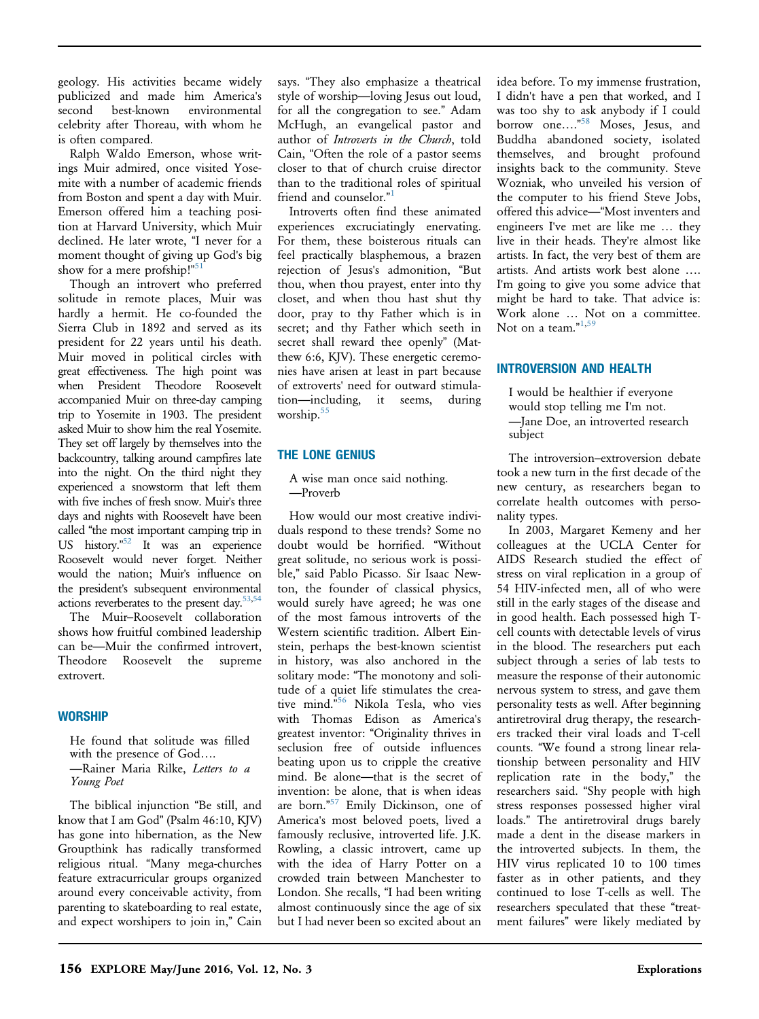geology. His activities became widely publicized and made him America's second best-known environmental celebrity after Thoreau, with whom he is often compared.

Ralph Waldo Emerson, whose writings Muir admired, once visited Yosemite with a number of academic friends from Boston and spent a day with Muir. Emerson offered him a teaching position at Harvard University, which Muir declined. He later wrote, "I never for a moment thought of giving up God's big show for a mere profship!"<sup>[51](#page-8-0)</sup>

Though an introvert who preferred solitude in remote places, Muir was hardly a hermit. He co-founded the Sierra Club in 1892 and served as its president for 22 years until his death. Muir moved in political circles with great effectiveness. The high point was when President Theodore Roosevelt accompanied Muir on three-day camping trip to Yosemite in 1903. The president asked Muir to show him the real Yosemite. They set off largely by themselves into the backcountry, talking around campfires late into the night. On the third night they experienced a snowstorm that left them with five inches of fresh snow. Muir's three days and nights with Roosevelt have been called "the most important camping trip in US history."<sup>[52](#page-8-0)</sup> It was an experience Roosevelt would never forget. Neither would the nation; Muir's influence on the president's subsequent environmental actions reverberates to the present day[.53,54](#page-8-0)

The Muir–Roosevelt collaboration shows how fruitful combined leadership can be—Muir the confirmed introvert, Theodore Roosevelt the supreme extrovert.

#### **WORSHIP**

He found that solitude was filled with the presence of God…. —Rainer Maria Rilke, Letters to a Young Poet

The biblical injunction "Be still, and know that I am God" (Psalm 46:10, KJV) has gone into hibernation, as the New Groupthink has radically transformed religious ritual. "Many mega-churches feature extracurricular groups organized around every conceivable activity, from parenting to skateboarding to real estate, and expect worshipers to join in," Cain says. "They also emphasize a theatrical style of worship—loving Jesus out loud, for all the congregation to see." Adam McHugh, an evangelical pastor and author of Introverts in the Church, told Cain, "Often the role of a pastor seems closer to that of church cruise director than to the traditional roles of spiritual friend and counselor."<sup>[1](#page-7-0)</sup>

Introverts often find these animated experiences excruciatingly enervating. For them, these boisterous rituals can feel practically blasphemous, a brazen rejection of Jesus's admonition, "But thou, when thou prayest, enter into thy closet, and when thou hast shut thy door, pray to thy Father which is in secret; and thy Father which seeth in secret shall reward thee openly" (Matthew 6:6, KJV). These energetic ceremonies have arisen at least in part because of extroverts' need for outward stimulation—including, it seems, during worship.<sup>55</sup>

# THE LONE GENIUS

A wise man once said nothing. —Proverb

How would our most creative individuals respond to these trends? Some no doubt would be horrified. "Without great solitude, no serious work is possible," said Pablo Picasso. Sir Isaac Newton, the founder of classical physics, would surely have agreed; he was one of the most famous introverts of the Western scientific tradition. Albert Einstein, perhaps the best-known scientist in history, was also anchored in the solitary mode: "The monotony and solitude of a quiet life stimulates the creative mind." [56](#page-8-0) Nikola Tesla, who vies with Thomas Edison as America's greatest inventor: "Originality thrives in seclusion free of outside influences beating upon us to cripple the creative mind. Be alone—that is the secret of invention: be alone, that is when ideas are born."<sup>[57](#page-8-0)</sup> Emily Dickinson, one of America's most beloved poets, lived a famously reclusive, introverted life. J.K. Rowling, a classic introvert, came up with the idea of Harry Potter on a crowded train between Manchester to London. She recalls, "I had been writing almost continuously since the age of six but I had never been so excited about an

idea before. To my immense frustration, I didn't have a pen that worked, and I was too shy to ask anybody if I could borrow one…." [58](#page-8-0) Moses, Jesus, and Buddha abandoned society, isolated themselves, and brought profound insights back to the community. Steve Wozniak, who unveiled his version of the computer to his friend Steve Jobs, offered this advice—"Most inventers and engineers I've met are like me … they live in their heads. They're almost like artists. In fact, the very best of them are artists. And artists work best alone …. I'm going to give you some advice that might be hard to take. That advice is: Work alone … Not on a committee. Not on a team."<sup>[1,](#page-7-0)[59](#page-8-0)</sup>

# INTROVERSION AND HEALTH

I would be healthier if everyone would stop telling me I'm not. —Jane Doe, an introverted research subject

The introversion–extroversion debate took a new turn in the first decade of the new century, as researchers began to correlate health outcomes with personality types.

In 2003, Margaret Kemeny and her colleagues at the UCLA Center for AIDS Research studied the effect of stress on viral replication in a group of 54 HIV-infected men, all of who were still in the early stages of the disease and in good health. Each possessed high Tcell counts with detectable levels of virus in the blood. The researchers put each subject through a series of lab tests to measure the response of their autonomic nervous system to stress, and gave them personality tests as well. After beginning antiretroviral drug therapy, the researchers tracked their viral loads and T-cell counts. "We found a strong linear relationship between personality and HIV replication rate in the body," the researchers said. "Shy people with high stress responses possessed higher viral loads." The antiretroviral drugs barely made a dent in the disease markers in the introverted subjects. In them, the HIV virus replicated 10 to 100 times faster as in other patients, and they continued to lose T-cells as well. The researchers speculated that these "treatment failures" were likely mediated by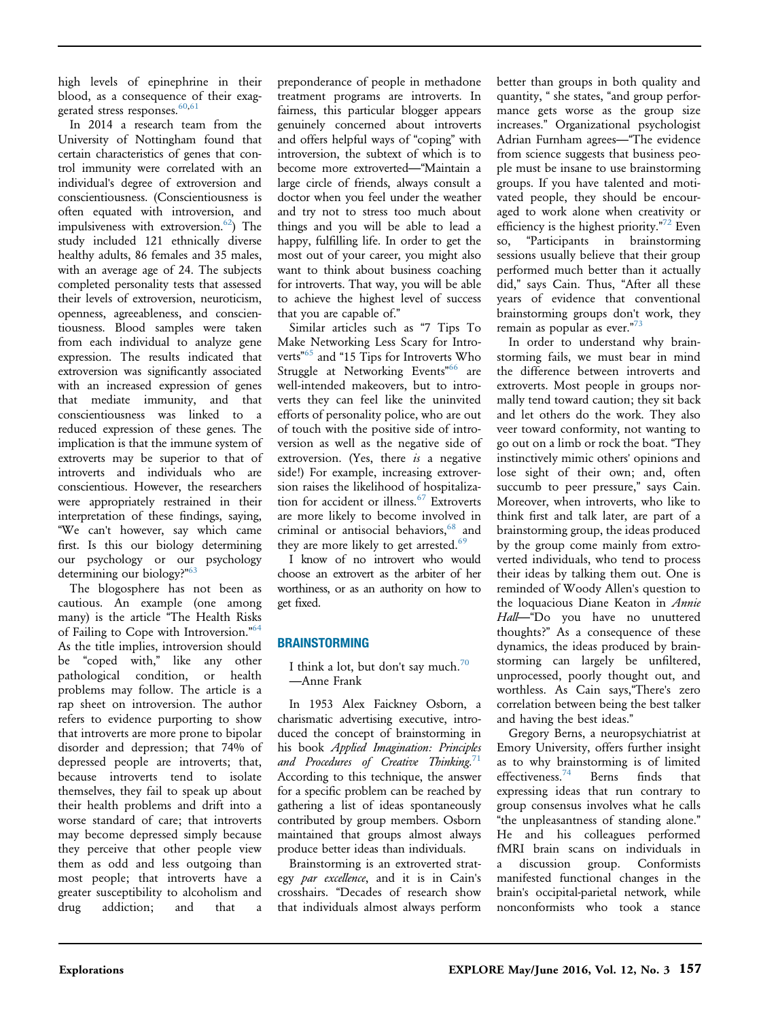high levels of epinephrine in their blood, as a consequence of their exaggerated stress responses.<sup>60,61</sup>

In 2014 a research team from the University of Nottingham found that certain characteristics of genes that control immunity were correlated with an individual's degree of extroversion and conscientiousness. (Conscientiousness is often equated with introversion, and impulsiveness with extroversion.<sup>62</sup>) The study included 121 ethnically diverse healthy adults, 86 females and 35 males, with an average age of 24. The subjects completed personality tests that assessed their levels of extroversion, neuroticism, openness, agreeableness, and conscientiousness. Blood samples were taken from each individual to analyze gene expression. The results indicated that extroversion was significantly associated with an increased expression of genes that mediate immunity, and that conscientiousness was linked to a reduced expression of these genes. The implication is that the immune system of extroverts may be superior to that of introverts and individuals who are conscientious. However, the researchers were appropriately restrained in their interpretation of these findings, saying, "We can't however, say which came first. Is this our biology determining our psychology or our psychology determining our biology?" [63](#page-9-0)

The blogosphere has not been as cautious. An example (one among many) is the article "The Health Risks of Failing to Cope with Introversion."<sup>[64](#page-9-0)</sup> As the title implies, introversion should be "coped with," like any other pathological condition, or health problems may follow. The article is a rap sheet on introversion. The author refers to evidence purporting to show that introverts are more prone to bipolar disorder and depression; that 74% of depressed people are introverts; that, because introverts tend to isolate themselves, they fail to speak up about their health problems and drift into a worse standard of care; that introverts may become depressed simply because they perceive that other people view them as odd and less outgoing than most people; that introverts have a greater susceptibility to alcoholism and drug addiction; and that a preponderance of people in methadone treatment programs are introverts. In fairness, this particular blogger appears genuinely concerned about introverts and offers helpful ways of "coping" with introversion, the subtext of which is to become more extroverted—"Maintain a large circle of friends, always consult a doctor when you feel under the weather and try not to stress too much about things and you will be able to lead a happy, fulfilling life. In order to get the most out of your career, you might also want to think about business coaching for introverts. That way, you will be able to achieve the highest level of success that you are capable of."

Similar articles such as "7 Tips To Make Networking Less Scary for Intro-verts"<sup>[65](#page-9-0)</sup> and "15 Tips for Introverts Who Struggle at Networking Events"<sup>[66](#page-9-0)</sup> are well-intended makeovers, but to introverts they can feel like the uninvited efforts of personality police, who are out of touch with the positive side of introversion as well as the negative side of extroversion. (Yes, there is a negative side!) For example, increasing extroversion raises the likelihood of hospitaliza-tion for accident or illness.<sup>[67](#page-9-0)</sup> Extroverts are more likely to become involved in criminal or antisocial behaviors,<sup>[68](#page-9-0)</sup> and they are more likely to get arrested.<sup>[69](#page-9-0)</sup>

I know of no introvert who would choose an extrovert as the arbiter of her worthiness, or as an authority on how to get fixed.

#### BRAINSTORMING

I think a lot, but don't say much. $70$ —Anne Frank

In 1953 Alex Faickney Osborn, a charismatic advertising executive, introduced the concept of brainstorming in his book Applied Imagination: Principles and Procedures of Creative Thinking. $71$ According to this technique, the answer for a specific problem can be reached by gathering a list of ideas spontaneously contributed by group members. Osborn maintained that groups almost always produce better ideas than individuals.

Brainstorming is an extroverted strategy par excellence, and it is in Cain's crosshairs. "Decades of research show that individuals almost always perform better than groups in both quality and quantity, " she states, "and group performance gets worse as the group size increases." Organizational psychologist Adrian Furnham agrees—"The evidence from science suggests that business people must be insane to use brainstorming groups. If you have talented and motivated people, they should be encouraged to work alone when creativity or efficiency is the highest priority."<sup>[72](#page-9-0)</sup> Even so, "Participants in brainstorming sessions usually believe that their group performed much better than it actually did," says Cain. Thus, "After all these years of evidence that conventional brainstorming groups don't work, they remain as popular as ever." [73](#page-9-0)

In order to understand why brainstorming fails, we must bear in mind the difference between introverts and extroverts. Most people in groups normally tend toward caution; they sit back and let others do the work. They also veer toward conformity, not wanting to go out on a limb or rock the boat. "They instinctively mimic others' opinions and lose sight of their own; and, often succumb to peer pressure," says Cain. Moreover, when introverts, who like to think first and talk later, are part of a brainstorming group, the ideas produced by the group come mainly from extroverted individuals, who tend to process their ideas by talking them out. One is reminded of Woody Allen's question to the loquacious Diane Keaton in Annie Hall—"Do you have no unuttered thoughts?" As a consequence of these dynamics, the ideas produced by brainstorming can largely be unfiltered, unprocessed, poorly thought out, and worthless. As Cain says,"There's zero correlation between being the best talker and having the best ideas."

Gregory Berns, a neuropsychiatrist at Emory University, offers further insight as to why brainstorming is of limited effectiveness.[74](#page-9-0) Berns finds that expressing ideas that run contrary to group consensus involves what he calls "the unpleasantness of standing alone." He and his colleagues performed fMRI brain scans on individuals in a discussion group. Conformists manifested functional changes in the brain's occipital-parietal network, while nonconformists who took a stance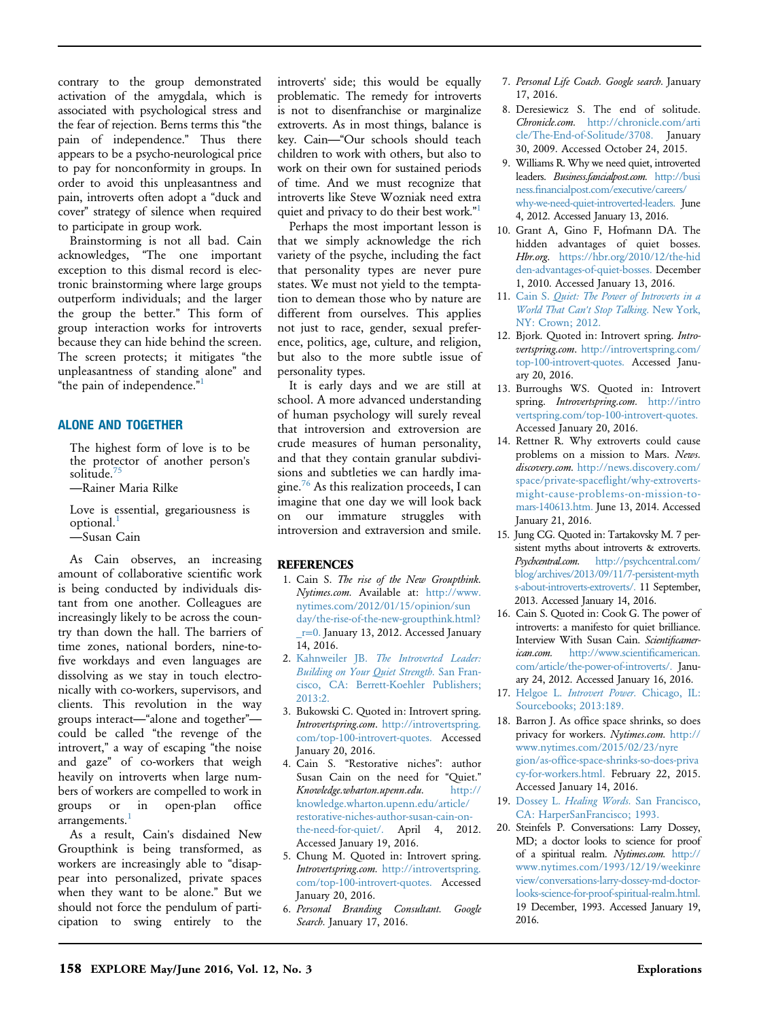<span id="page-7-0"></span>contrary to the group demonstrated activation of the amygdala, which is associated with psychological stress and the fear of rejection. Berns terms this "the pain of independence." Thus there appears to be a psycho-neurological price to pay for nonconformity in groups. In order to avoid this unpleasantness and pain, introverts often adopt a "duck and cover" strategy of silence when required to participate in group work.

Brainstorming is not all bad. Cain acknowledges, "The one important exception to this dismal record is electronic brainstorming where large groups outperform individuals; and the larger the group the better." This form of group interaction works for introverts because they can hide behind the screen. The screen protects; it mitigates "the unpleasantness of standing alone" and "the pain of independence." 1

#### ALONE AND TOGETHER

The highest form of love is to be the protector of another person's solitude.<sup>7</sup>

—Rainer Maria Rilke

Love is essential, gregariousness is optional.<sup>1</sup>

—Susan Cain

As Cain observes, an increasing amount of collaborative scientific work is being conducted by individuals distant from one another. Colleagues are increasingly likely to be across the country than down the hall. The barriers of time zones, national borders, nine-tofive workdays and even languages are dissolving as we stay in touch electronically with co-workers, supervisors, and clients. This revolution in the way groups interact—"alone and together" could be called "the revenge of the introvert," a way of escaping "the noise and gaze" of co-workers that weigh heavily on introverts when large numbers of workers are compelled to work in groups or in open-plan office  $\arctan$ arrangements. $^1$ 

As a result, Cain's disdained New Groupthink is being transformed, as workers are increasingly able to "disappear into personalized, private spaces when they want to be alone." But we should not force the pendulum of participation to swing entirely to the introverts' side; this would be equally problematic. The remedy for introverts is not to disenfranchise or marginalize extroverts. As in most things, balance is key. Cain—"Our schools should teach children to work with others, but also to work on their own for sustained periods of time. And we must recognize that introverts like Steve Wozniak need extra quiet and privacy to do their best work."<sup>1</sup>

Perhaps the most important lesson is that we simply acknowledge the rich variety of the psyche, including the fact that personality types are never pure states. We must not yield to the temptation to demean those who by nature are different from ourselves. This applies not just to race, gender, sexual preference, politics, age, culture, and religion, but also to the more subtle issue of personality types.

It is early days and we are still at school. A more advanced understanding of human psychology will surely reveal that introversion and extroversion are crude measures of human personality, and that they contain granular subdivisions and subtleties we can hardly imagine. $76$  As this realization proceeds, I can imagine that one day we will look back on our immature struggles with introversion and extraversion and smile.

#### **REFERENCES**

- 1. Cain S. The rise of the New Groupthink. Nytimes.com. Available at: [http://www.](http://www.nytimes.com/2012/01/15/opinion/sunday/the-rise-of-the-new-groupthink.html?_r=0) [nytimes.com/2012/01/15/opinion/sun](http://www.nytimes.com/2012/01/15/opinion/sunday/the-rise-of-the-new-groupthink.html?_r=0) [day/the-rise-of-the-new-groupthink.html?](http://www.nytimes.com/2012/01/15/opinion/sunday/the-rise-of-the-new-groupthink.html?_r=0) [\\_r](http://www.nytimes.com/2012/01/15/opinion/sunday/the-rise-of-the-new-groupthink.html?_r=0)=0. January 13, 2012. Accessed January 14, 2016.
- 2. Kahnweiler JB. [The Introverted Leader:](http://refhub.elsevier.com/S1550-8307(16)00037-9/sbref1) [Building on Your Quiet Strength.](http://refhub.elsevier.com/S1550-8307(16)00037-9/sbref1) San Fran[cisco, CA: Berrett-Koehler Publishers;](http://refhub.elsevier.com/S1550-8307(16)00037-9/sbref1) [2013:2.](http://refhub.elsevier.com/S1550-8307(16)00037-9/sbref1)
- 3. Bukowski C. Quoted in: Introvert spring. Introvertspring.com. [http://introvertspring.](http://introvertspring.com/top-100-introvert-quotes) [com/top-100-introvert-quotes](http://introvertspring.com/top-100-introvert-quotes). Accessed January 20, 2016.
- 4. Cain S. "Restorative niches": author Susan Cain on the need for "Quiet." Knowledge.wharton.upenn.edu. [http://](http://knowledge.wharton.upenn.edu/article/restorative-niches-author-susan-cain-on-the-need-for-quiet/) [knowledge.wharton.upenn.edu/article/](http://knowledge.wharton.upenn.edu/article/restorative-niches-author-susan-cain-on-the-need-for-quiet/) [restorative-niches-author-susan-cain-on](http://knowledge.wharton.upenn.edu/article/restorative-niches-author-susan-cain-on-the-need-for-quiet/)[the-need-for-quiet/](http://knowledge.wharton.upenn.edu/article/restorative-niches-author-susan-cain-on-the-need-for-quiet/). April 4, 2012. Accessed January 19, 2016.
- 5. Chung M. Quoted in: Introvert spring. Introvertspring.com. [http://introvertspring.](http://introvertspring.com/top-100-introvert-quotes) [com/top-100-introvert-quotes](http://introvertspring.com/top-100-introvert-quotes). Accessed January 20, 2016.
- 6. Personal Branding Consultant. Google Search. January 17, 2016.
- 7. Personal Life Coach. Google search. January 17, 2016.
- 8. Deresiewicz S. The end of solitude. Chronicle.com. [http://chronicle.com/arti](http://chronicle.com/article/The-End-of-Solitude/3708) [cle/The-End-of-Solitude/3708](http://chronicle.com/article/The-End-of-Solitude/3708). January 30, 2009. Accessed October 24, 2015.
- 9. Williams R. Why we need quiet, introverted leaders. Business.fancialpost.com. [http://busi](http://business.financialpost.com/executive/careers/why-we-need-quiet-introverted-leaders) ness.fi[nancialpost.com/executive/careers/](http://business.financialpost.com/executive/careers/why-we-need-quiet-introverted-leaders) [why-we-need-quiet-introverted-leaders](http://business.financialpost.com/executive/careers/why-we-need-quiet-introverted-leaders). June 4, 2012. Accessed January 13, 2016.
- 10. Grant A, Gino F, Hofmann DA. The hidden advantages of quiet bosses. Hbr.org. [https://hbr.org/2010/12/the-hid](https://hbr.org/2010/12/the-hidden-advantages-of-quiet-bosses) [den-advantages-of-quiet-bosses](https://hbr.org/2010/12/the-hidden-advantages-of-quiet-bosses). December 1, 2010. Accessed January 13, 2016.
- 11. Cain S. [Quiet: The Power of Introverts in a](http://refhub.elsevier.com/S1550-8307(16)00037-9/sbref2) [World That Can](http://refhub.elsevier.com/S1550-8307(16)00037-9/sbref2)'t Stop Talking. New York, [NY: Crown; 2012.](http://refhub.elsevier.com/S1550-8307(16)00037-9/sbref2)
- 12. Bjork. Quoted in: Introvert spring. Introvertspring.com. [http://introvertspring.com/](http://introvertspring.com/top-100-introvert-quotes) [top-100-introvert-quotes](http://introvertspring.com/top-100-introvert-quotes). Accessed January 20, 2016.
- 13. Burroughs WS. Quoted in: Introvert spring. Introvertspring.com. [http://intro](http://introvertspring.com/top-100-introvert-quotes) [vertspring.com/top-100-introvert-quotes](http://introvertspring.com/top-100-introvert-quotes). Accessed January 20, 2016.
- 14. Rettner R. Why extroverts could cause problems on a mission to Mars. News. discovery.com. [http://news.discovery.com/](http://news.discovery.com/space/private-spaceflight/why-extroverts-might-cause-problems-on-mission-to-mars-140613.htm) space/private-spacefl[ight/why-extroverts](http://news.discovery.com/space/private-spaceflight/why-extroverts-might-cause-problems-on-mission-to-mars-140613.htm)[might-cause-problems-on-mission-to](http://news.discovery.com/space/private-spaceflight/why-extroverts-might-cause-problems-on-mission-to-mars-140613.htm)[mars-140613.htm](http://news.discovery.com/space/private-spaceflight/why-extroverts-might-cause-problems-on-mission-to-mars-140613.htm). June 13, 2014. Accessed January 21, 2016.
- 15. Jung CG. Quoted in: Tartakovsky M. 7 persistent myths about introverts & extroverts. Psychcentral.com. [http://psychcentral.com/](http://psychcentral.com/blog/archives/2013/09/11/7-persistent-myths-about-introverts-extroverts/) [blog/archives/2013/09/11/7-persistent-myth](http://psychcentral.com/blog/archives/2013/09/11/7-persistent-myths-about-introverts-extroverts/) [s-about-introverts-extroverts/](http://psychcentral.com/blog/archives/2013/09/11/7-persistent-myths-about-introverts-extroverts/). 11 September, 2013. Accessed January 14, 2016.
- 16. Cain S. Quoted in: Cook G. The power of introverts: a manifesto for quiet brilliance. Interview With Susan Cain. Scientificamerican.com. [http://www.scienti](http://www.&!QJ;scientificamerican.com/article/the-power-of-introverts/)ficamerican. [com/article/the-power-of-introverts/.](http://www.&!QJ;scientificamerican.com/article/the-power-of-introverts/) January 24, 2012. Accessed January 16, 2016.
- 17. Helgoe L. [Introvert Power.](http://refhub.elsevier.com/S1550-8307(16)00037-9/sbref3) Chicago, IL: [Sourcebooks; 2013:189.](http://refhub.elsevier.com/S1550-8307(16)00037-9/sbref3)
- 18. Barron J. As office space shrinks, so does privacy for workers. Nytimes.com. [http://](http://www.nytimes.com/2015/02/23/nyregion/as-office-space-shrinks-so-does-privacy-for-workers.html) [www.nytimes.com/2015/02/23/nyre](http://www.nytimes.com/2015/02/23/nyregion/as-office-space-shrinks-so-does-privacy-for-workers.html) gion/as-offi[ce-space-shrinks-so-does-priva](http://www.nytimes.com/2015/02/23/nyregion/as-office-space-shrinks-so-does-privacy-for-workers.html) [cy-for-workers.html.](http://www.nytimes.com/2015/02/23/nyregion/as-office-space-shrinks-so-does-privacy-for-workers.html) February 22, 2015. Accessed January 14, 2016.
- 19. Dossey L. [Healing Words.](http://refhub.elsevier.com/S1550-8307(16)00037-9/sbref4) San Francisco, [CA: HarperSanFrancisco; 1993.](http://refhub.elsevier.com/S1550-8307(16)00037-9/sbref4)
- 20. Steinfels P. Conversations: Larry Dossey, MD; a doctor looks to science for proof of a spiritual realm. Nytimes.com. [http://](http://www.nytimes.com/1993/12/19/weekinreview/conversations-larry-dossey-md-doctor-looks-science-for-proof-spiritual-realm.html) [www.nytimes.com/1993/12/19/weekinre](http://www.nytimes.com/1993/12/19/weekinreview/conversations-larry-dossey-md-doctor-looks-science-for-proof-spiritual-realm.html) [view/conversations-larry-dossey-md-doctor](http://www.nytimes.com/1993/12/19/weekinreview/conversations-larry-dossey-md-doctor-looks-science-for-proof-spiritual-realm.html)[looks-science-for-proof-spiritual-realm.html.](http://www.nytimes.com/1993/12/19/weekinreview/conversations-larry-dossey-md-doctor-looks-science-for-proof-spiritual-realm.html) 19 December, 1993. Accessed January 19, 2016.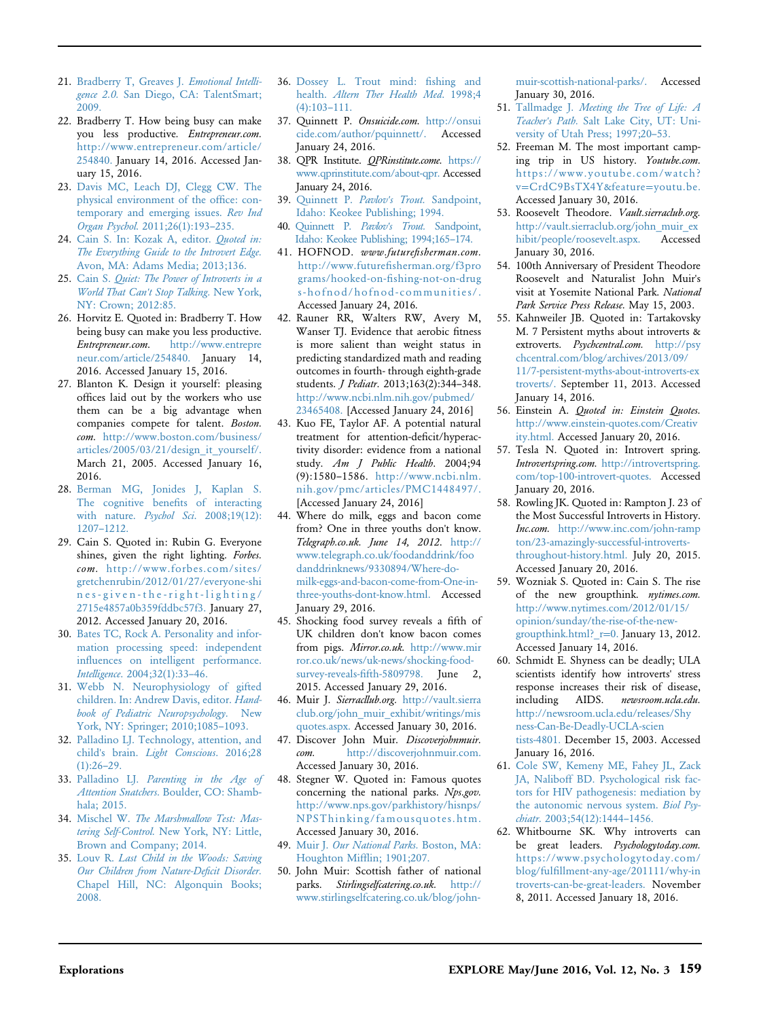- <span id="page-8-0"></span>21. [Bradberry T, Greaves J.](http://refhub.elsevier.com/S1550-8307(16)00037-9/sbref5) Emotional Intelli-gence 2.0. [San Diego, CA: TalentSmart;](http://refhub.elsevier.com/S1550-8307(16)00037-9/sbref5) [2009.](http://refhub.elsevier.com/S1550-8307(16)00037-9/sbref5)
- 22. Bradberry T. How being busy can make you less productive. Entrepreneur.com. [http://www.entrepreneur.com/article/](http://www.entrepreneur.com/article/254840) [254840](http://www.entrepreneur.com/article/254840). January 14, 2016. Accessed January 15, 2016.
- 23. [Davis MC, Leach DJ, Clegg CW. The](http://refhub.elsevier.com/S1550-8307(16)00037-9/sbref6) [physical environment of the of](http://refhub.elsevier.com/S1550-8307(16)00037-9/sbref6)fice: con[temporary and emerging issues.](http://refhub.elsevier.com/S1550-8307(16)00037-9/sbref6) Rev Ind Organ Psychol[. 2011;26\(1\):193](http://refhub.elsevier.com/S1550-8307(16)00037-9/sbref6)–235.
- 24. [Cain S. In: Kozak A, editor.](http://refhub.elsevier.com/S1550-8307(16)00037-9/sbref7) Quoted in: [The Everything Guide to the Introvert Edge.](http://refhub.elsevier.com/S1550-8307(16)00037-9/sbref7) [Avon, MA: Adams Media; 2013;136.](http://refhub.elsevier.com/S1550-8307(16)00037-9/sbref7)
- 25. Cain S. [Quiet: The Power of Introverts in a](http://refhub.elsevier.com/S1550-8307(16)00037-9/sbref8) [World That Can](http://refhub.elsevier.com/S1550-8307(16)00037-9/sbref8)'t Stop Talking. New York, [NY: Crown; 2012:85.](http://refhub.elsevier.com/S1550-8307(16)00037-9/sbref8)
- 26. Horvitz E. Quoted in: Bradberry T. How being busy can make you less productive. Entrepreneur.com. [http://www.entrepre](http://www.entrepreneur.com/article/254840) [neur.com/article/254840.](http://www.entrepreneur.com/article/254840) January 14, 2016. Accessed January 15, 2016.
- 27. Blanton K. Design it yourself: pleasing offices laid out by the workers who use them can be a big advantage when companies compete for talent. Boston. com. [http://www.boston.com/business/](http://www.boston.com/business/articles/2005/03/21/design_it_yourself/) [articles/2005/03/21/design\\_it\\_yourself/.](http://www.boston.com/business/articles/2005/03/21/design_it_yourself/) March 21, 2005. Accessed January 16, 2016.
- 28. [Berman MG, Jonides J, Kaplan S.](http://refhub.elsevier.com/S1550-8307(16)00037-9/sbref9) [The cognitive bene](http://refhub.elsevier.com/S1550-8307(16)00037-9/sbref9)fits of interacting with nature. Psychol Sci[. 2008;19\(12\):](http://refhub.elsevier.com/S1550-8307(16)00037-9/sbref9) 1207–[1212.](http://refhub.elsevier.com/S1550-8307(16)00037-9/sbref9)
- 29. Cain S. Quoted in: Rubin G. Everyone shines, given the right lighting. Forbes. com. [http://www.forbes.com/sites/](http://www.forbes.com/sites/gretchenrubin/2012/01/27/everyone-shines-given-the-right-lighting/#2715e4857a0b359fddbc57f3) [gretchenrubin/2012/01/27/everyone-shi](http://www.forbes.com/sites/gretchenrubin/2012/01/27/everyone-shines-given-the-right-lighting/#2715e4857a0b359fddbc57f3) nes-given-the- [right-lighting/](http://www.forbes.com/sites/gretchenrubin/2012/01/27/everyone-shines-given-the-right-lighting/#2715e4857a0b359fddbc57f3) [2715e4857a0b359fddbc57f3](http://www.forbes.com/sites/gretchenrubin/2012/01/27/everyone-shines-given-the-right-lighting/#2715e4857a0b359fddbc57f3). January 27, 2012. Accessed January 20, 2016.
- 30. [Bates TC, Rock A. Personality and infor](http://refhub.elsevier.com/S1550-8307(16)00037-9/sbref10)[mation processing speed: independent](http://refhub.elsevier.com/S1550-8307(16)00037-9/sbref10) infl[uences on intelligent performance.](http://refhub.elsevier.com/S1550-8307(16)00037-9/sbref10) Intelligence[. 2004;32\(1\):33](http://refhub.elsevier.com/S1550-8307(16)00037-9/sbref10)–46.
- 31. [Webb N. Neurophysiology of gifted](http://refhub.elsevier.com/S1550-8307(16)00037-9/sbref11) [children. In: Andrew Davis, editor.](http://refhub.elsevier.com/S1550-8307(16)00037-9/sbref11) Hand[book of Pediatric Neuropsychology.](http://refhub.elsevier.com/S1550-8307(16)00037-9/sbref11) New [York, NY: Springer; 2010;1085](http://refhub.elsevier.com/S1550-8307(16)00037-9/sbref11)–1093.
- 32. [Palladino LJ. Technology, attention, and](http://refhub.elsevier.com/S1550-8307(16)00037-9/sbref12) child's brain. [Light Conscious](http://refhub.elsevier.com/S1550-8307(16)00037-9/sbref12). 2016;28 [\(1\):26](http://refhub.elsevier.com/S1550-8307(16)00037-9/sbref12)–29.
- 33. Palladino LJ. [Parenting in the Age of](http://refhub.elsevier.com/S1550-8307(16)00037-9/sbref13) Attention Snatchers. [Boulder, CO: Shamb](http://refhub.elsevier.com/S1550-8307(16)00037-9/sbref13)[hala; 2015.](http://refhub.elsevier.com/S1550-8307(16)00037-9/sbref13)
- 34. Mischel W. [The Marshmallow Test: Mas](http://refhub.elsevier.com/S1550-8307(16)00037-9/sbref14)tering Self-Control. [New York, NY: Little,](http://refhub.elsevier.com/S1550-8307(16)00037-9/sbref14) [Brown and Company; 2014.](http://refhub.elsevier.com/S1550-8307(16)00037-9/sbref14)
- 35. Louv R. [Last Child in the Woods: Saving](http://refhub.elsevier.com/S1550-8307(16)00037-9/sbref15) [Our Children from Nature-De](http://refhub.elsevier.com/S1550-8307(16)00037-9/sbref15)ficit Disorder. [Chapel Hill, NC: Algonquin Books;](http://refhub.elsevier.com/S1550-8307(16)00037-9/sbref15) [2008.](http://refhub.elsevier.com/S1550-8307(16)00037-9/sbref15)
- 36. [Dossey L. Trout mind:](http://refhub.elsevier.com/S1550-8307(16)00037-9/sbref16) fishing and health. [Altern Ther Health Med](http://refhub.elsevier.com/S1550-8307(16)00037-9/sbref16). 1998;4 [\(4\):103](http://refhub.elsevier.com/S1550-8307(16)00037-9/sbref16)–111.
- 37. Quinnett P. Onsuicide.com. [http://onsui](http://onsuicide.com/author/pquinnett/) [cide.com/author/pquinnett/.](http://onsuicide.com/author/pquinnett/) Accessed January 24, 2016.
- 38. QPR Institute. QPRinstitute.come. [https://](https://www.qprinstitute.com/about-qpr) [www.qprinstitute.com/about-qpr](https://www.qprinstitute.com/about-qpr). Accessed January 24, 2016.
- 39. [Quinnett P.](http://refhub.elsevier.com/S1550-8307(16)00037-9/sbref17) Pavlov's Trout. Sandpoint, [Idaho: Keokee Publishing; 1994.](http://refhub.elsevier.com/S1550-8307(16)00037-9/sbref17)
- 40. [Quinnett P.](http://refhub.elsevier.com/S1550-8307(16)00037-9/sbref18) Pavlov's Trout. Sandpoint, [Idaho: Keokee Publishing; 1994;165](http://refhub.elsevier.com/S1550-8307(16)00037-9/sbref18)–174.
- 41. HOFNOD. www.futurefisherman.com. http://www.futurefi[sherman.org/f3pro](http://www.futurefisherman.org/f3programs/hooked-on-fishing-not-on-drugs-hofnod/hofnod-communities/) [grams/hooked-on-](http://www.futurefisherman.org/f3programs/hooked-on-fishing-not-on-drugs-hofnod/hofnod-communities/)fishing-not-on-drug [s-hofnod/hofnod-communities/](http://www.futurefisherman.org/f3programs/hooked-on-fishing-not-on-drugs-hofnod/hofnod-communities/). Accessed January 24, 2016.
- 42. Rauner RR, Walters RW, Avery M, Wanser TJ. Evidence that aerobic fitness is more salient than weight status in predicting standardized math and reading outcomes in fourth- through eighth-grade students. J Pediatr. 2013;163(2):344–348. [http://www.ncbi.nlm.nih.gov/pubmed/](http://www.ncbi.nlm.nih.gov/pubmed/23465408) [23465408](http://www.ncbi.nlm.nih.gov/pubmed/23465408). [Accessed January 24, 2016]
- 43. Kuo FE, Taylor AF. A potential natural treatment for attention-deficit/hyperactivity disorder: evidence from a national study. Am J Public Health. 2004;94 (9):1580–1586. [http://www.ncbi.nlm.](http://www.ncbi.nlm.nih.gov/pmc/articles/PMC1448497/) [nih.gov/pmc/articles/PMC1448497/](http://www.ncbi.nlm.nih.gov/pmc/articles/PMC1448497/). [Accessed January 24, 2016]
- 44. Where do milk, eggs and bacon come from? One in three youths don't know. Telegraph.co.uk. June 14, 2012. [http://](http://www.telegraph.co.uk/foodanddrink/foodanddrinknews/9330894/Where-do-milk-eggs-and-bacon-come-from-One-in-three-youths-dont-know.html) [www.telegraph.co.uk/foodanddrink/foo](http://www.telegraph.co.uk/foodanddrink/foodanddrinknews/9330894/Where-do-milk-eggs-and-bacon-come-from-One-in-three-youths-dont-know.html) [danddrinknews/9330894/Where-do](http://www.telegraph.co.uk/foodanddrink/foodanddrinknews/9330894/Where-do-milk-eggs-and-bacon-come-from-One-in-three-youths-dont-know.html)[milk-eggs-and-bacon-come-from-One-in](http://www.telegraph.co.uk/foodanddrink/foodanddrinknews/9330894/Where-do-milk-eggs-and-bacon-come-from-One-in-three-youths-dont-know.html)[three-youths-dont-know.html.](http://www.telegraph.co.uk/foodanddrink/foodanddrinknews/9330894/Where-do-milk-eggs-and-bacon-come-from-One-in-three-youths-dont-know.html) Accessed January 29, 2016.
- 45. Shocking food survey reveals a fifth of UK children don't know bacon comes from pigs. Mirror.co.uk. [http://www.mir](http://www.mirror.co.uk/news/uk-news/shocking-food-survey-reveals-fifth-5809798) [ror.co.uk/news/uk-news/shocking-food](http://www.mirror.co.uk/news/uk-news/shocking-food-survey-reveals-fifth-5809798)[survey-reveals-](http://www.mirror.co.uk/news/uk-news/shocking-food-survey-reveals-fifth-5809798)fifth-5809798. June 2, 2015. Accessed January 29, 2016.
- 46. Muir J. Sierracllub.org. [http://vault.sierra](http://vault.sierraclub.org/john_muir_exhibit/writings/misquotes.aspx) [club.org/john\\_muir\\_exhibit/writings/mis](http://vault.sierraclub.org/john_muir_exhibit/writings/misquotes.aspx) [quotes.aspx](http://vault.sierraclub.org/john_muir_exhibit/writings/misquotes.aspx). Accessed January 30, 2016.
- 47. Discover John Muir. Discoverjohnmuir. com. <http://discoverjohnmuir.com>. Accessed January 30, 2016.
- 48. Stegner W. Quoted in: Famous quotes concerning the national parks. Nps.gov. [http://www.nps.gov/parkhistory/hisnps/](http://www.nps.gov/parkhistory/hisnps/NPSThinking/famousquotes.htm) [NPSThinking/famousquotes.htm](http://www.nps.gov/parkhistory/hisnps/NPSThinking/famousquotes.htm). Accessed January 30, 2016.
- 49. Muir J. [Our National Parks.](http://refhub.elsevier.com/S1550-8307(16)00037-9/sbref21) Boston, MA: [Houghton Mif](http://refhub.elsevier.com/S1550-8307(16)00037-9/sbref21)flin; 1901;207.
- 50. John Muir: Scottish father of national parks. Stirlingselfcatering.co.uk. [http://](http://www.stirlingselfcatering.co.uk/blog/john-muir-scottish-national-parks/) [www.stirlingselfcatering.co.uk/blog/john-](http://www.stirlingselfcatering.co.uk/blog/john-muir-scottish-national-parks/)

[muir-scottish-national-parks/](http://www.stirlingselfcatering.co.uk/blog/john-muir-scottish-national-parks/). Accessed January 30, 2016.

- 51. Tallmadge J. [Meeting the Tree of Life: A](http://refhub.elsevier.com/S1550-8307(16)00037-9/sbref22) Teacher's Path. [Salt Lake City, UT: Uni](http://refhub.elsevier.com/S1550-8307(16)00037-9/sbref22)[versity of Utah Press; 1997;20](http://refhub.elsevier.com/S1550-8307(16)00037-9/sbref22)–53.
- 52. Freeman M. The most important camping trip in US history. Youtube.com. [https://www.youtube.com/watch?](https://www.youtube.com/watch?v=CrdC9BsTX4Y&feature=youtu.be) v=[CrdC9BsTX4Y&](https://www.youtube.com/watch?v=CrdC9BsTX4Y&feature=youtu.be)feature=[youtu.be.](https://www.youtube.com/watch?v=CrdC9BsTX4Y&feature=youtu.be) Accessed January 30, 2016.
- 53. Roosevelt Theodore. Vault.sierraclub.org. [http://vault.sierraclub.org/john\\_muir\\_ex](http://vault.sierraclub.org/john_muir_exhibit/people/roosevelt.aspx) [hibit/people/roosevelt.aspx](http://vault.sierraclub.org/john_muir_exhibit/people/roosevelt.aspx). Accessed January 30, 2016.
- 54. 100th Anniversary of President Theodore Roosevelt and Naturalist John Muir's visit at Yosemite National Park. National Park Service Press Release. May 15, 2003.
- 55. Kahnweiler JB. Quoted in: Tartakovsky M. 7 Persistent myths about introverts & extroverts. Psychcentral.com. [http://psy](http://psychcentral.com/blog/archives/2013/09/11/7-persistent-myths-about-introverts-extroverts/) [chcentral.com/blog/archives/2013/09/](http://psychcentral.com/blog/archives/2013/09/11/7-persistent-myths-about-introverts-extroverts/) [11/7-persistent-myths-about-introverts-ex](http://psychcentral.com/blog/archives/2013/09/11/7-persistent-myths-about-introverts-extroverts/) [troverts/](http://psychcentral.com/blog/archives/2013/09/11/7-persistent-myths-about-introverts-extroverts/). September 11, 2013. Accessed January 14, 2016.
- 56. Einstein A. Quoted in: Einstein Quotes. [http://www.einstein-quotes.com/Creativ](http://www.einstein-quotes.com/Creativity.html) [ity.html.](http://www.einstein-quotes.com/Creativity.html) Accessed January 20, 2016.
- 57. Tesla N. Quoted in: Introvert spring. Introvertspring.com. [http://introvertspring.](http://introvertspring.com/top-100-introvert-quotes) [com/top-100-introvert-quotes.](http://introvertspring.com/top-100-introvert-quotes) Accessed January 20, 2016.
- 58. Rowling JK. Quoted in: Rampton J. 23 of the Most Successful Introverts in History. Inc.com. [http://www.inc.com/john-ramp](http://www.inc.com/john-rampton/23-amazingly-successful-introverts-throughout-history.html) [ton/23-amazingly-successful-introverts](http://www.inc.com/john-rampton/23-amazingly-successful-introverts-throughout-history.html)[throughout-history.html](http://www.inc.com/john-rampton/23-amazingly-successful-introverts-throughout-history.html). July 20, 2015. Accessed January 20, 2016.
- 59. Wozniak S. Quoted in: Cain S. The rise of the new groupthink. nytimes.com. [http://www.nytimes.com/2012/01/15/](http://www.nytimes.com/2012/01/15/opinion/sunday/the-rise-of-the-new-groupthink.html?_r=0) [opinion/sunday/the-rise-of-the-new](http://www.nytimes.com/2012/01/15/opinion/sunday/the-rise-of-the-new-groupthink.html?_r=0)[groupthink.html?\\_r](http://www.nytimes.com/2012/01/15/opinion/sunday/the-rise-of-the-new-groupthink.html?_r=0)=0. January 13, 2012. Accessed January 14, 2016.
- 60. Schmidt E. Shyness can be deadly; ULA scientists identify how introverts' stress response increases their risk of disease,<br>including AIDS. newsroom.ucla.edu. newsroom.ucla.edu. [http://newsroom.ucla.edu/releases/Shy](http://newsroom.ucla.edu/releases/Shyness-Can-Be-Deadly-UCLA-scientists-4801) [ness-Can-Be-Deadly-UCLA-scien](http://newsroom.ucla.edu/releases/Shyness-Can-Be-Deadly-UCLA-scientists-4801) [tists-4801.](http://newsroom.ucla.edu/releases/Shyness-Can-Be-Deadly-UCLA-scientists-4801) December 15, 2003. Accessed January 16, 2016.
- 61. [Cole SW, Kemeny ME, Fahey JL, Zack](http://refhub.elsevier.com/S1550-8307(16)00037-9/sbref23) [JA, Naliboff BD. Psychological risk fac](http://refhub.elsevier.com/S1550-8307(16)00037-9/sbref23)[tors for HIV pathogenesis: mediation by](http://refhub.elsevier.com/S1550-8307(16)00037-9/sbref23) [the autonomic nervous system.](http://refhub.elsevier.com/S1550-8307(16)00037-9/sbref23) Biol Psychiatr[. 2003;54\(12\):1444](http://refhub.elsevier.com/S1550-8307(16)00037-9/sbref23)–1456.
- 62. Whitbourne SK. Why introverts can be great leaders. Psychologytoday.com. [https://www.psychologytoday.com/](https://www.psychologytoday.com/blog/fulfillment-any-age/201111/why-introverts-can-be-great-leaders) blog/fulfi[llment-any-age/201111/why-in](https://www.psychologytoday.com/blog/fulfillment-any-age/201111/why-introverts-can-be-great-leaders) [troverts-can-be-great-leaders](https://www.psychologytoday.com/blog/fulfillment-any-age/201111/why-introverts-can-be-great-leaders). November 8, 2011. Accessed January 18, 2016.